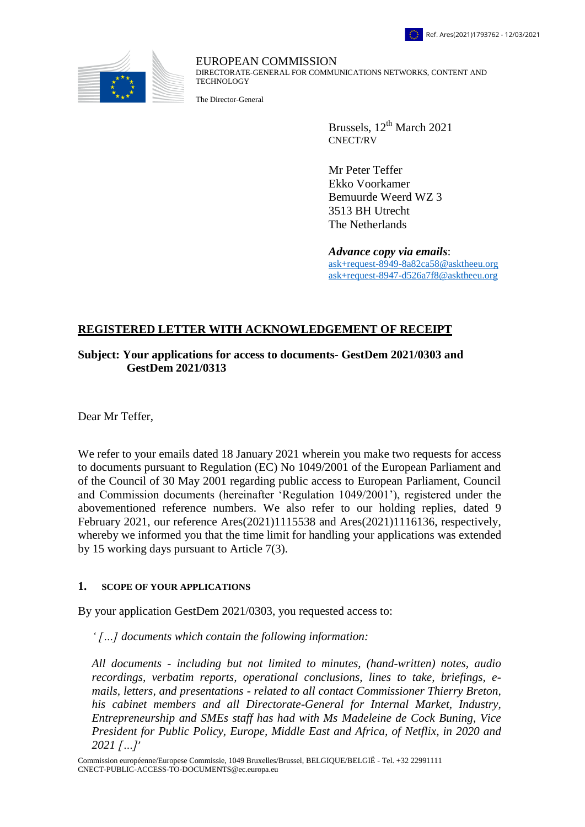

EUROPEAN COMMISSION DIRECTORATE-GENERAL FOR COMMUNICATIONS NETWORKS, CONTENT AND TECHNOLOGY

The Director-General

Brussels, 12<sup>th</sup> March 2021 CNECT/RV

Mr Peter Teffer Ekko Voorkamer Bemuurde Weerd WZ 3 3513 BH Utrecht The Netherlands

*Advance copy via emails*: [ask+request-8949-8a82ca58@asktheeu.org](mailto:xxxxxxxxxxxxxxxxxxxxxxxxx@xxxxxxxx.xxx) [ask+request-8947-d526a7f8@asktheeu.org](mailto:xxxxxxxxxxxxxxxxxxxxxxxxx@xxxxxxxx.xxx)

# **REGISTERED LETTER WITH ACKNOWLEDGEMENT OF RECEIPT**

## **Subject: Your applications for access to documents- GestDem 2021/0303 and GestDem 2021/0313**

Dear Mr Teffer,

We refer to your emails dated 18 January 2021 wherein you make two requests for access to documents pursuant to Regulation (EC) No 1049/2001 of the European Parliament and of the Council of 30 May 2001 regarding public access to European Parliament, Council and Commission documents (hereinafter 'Regulation 1049/2001'), registered under the abovementioned reference numbers. We also refer to our holding replies, dated 9 February 2021, our reference Ares(2021)1115538 and Ares(2021)1116136, respectively, whereby we informed you that the time limit for handling your applications was extended by 15 working days pursuant to Article 7(3).

#### **1. SCOPE OF YOUR APPLICATIONS**

By your application GestDem 2021/0303, you requested access to:

*' […] documents which contain the following information:*

*All documents - including but not limited to minutes, (hand-written) notes, audio recordings, verbatim reports, operational conclusions, lines to take, briefings, emails, letters, and presentations - related to all contact Commissioner Thierry Breton, his cabinet members and all Directorate-General for Internal Market, Industry, Entrepreneurship and SMEs staff has had with Ms Madeleine de Cock Buning, Vice President for Public Policy, Europe, Middle East and Africa, of Netflix, in 2020 and 2021 […]*'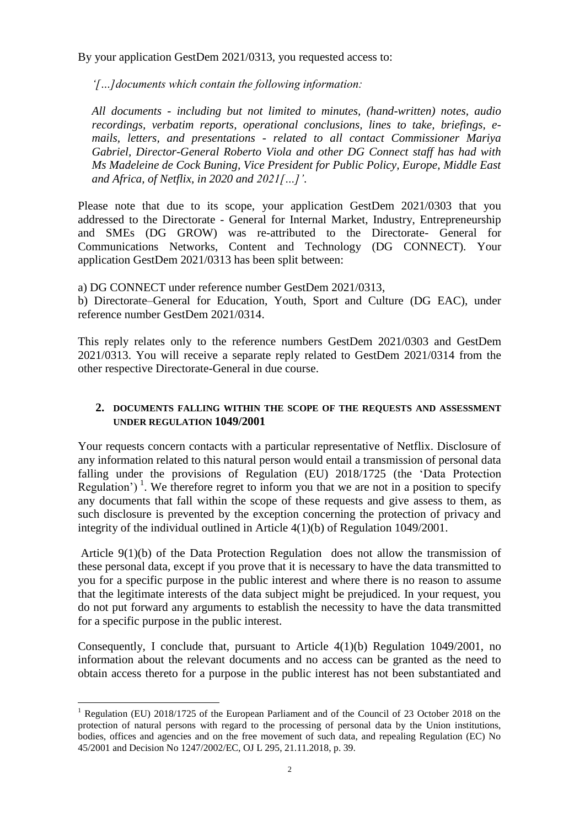By your application GestDem 2021/0313, you requested access to:

*'[…]documents which contain the following information:*

*All documents - including but not limited to minutes, (hand-written) notes, audio recordings, verbatim reports, operational conclusions, lines to take, briefings, emails, letters, and presentations - related to all contact Commissioner Mariya Gabriel, Director-General Roberto Viola and other DG Connect staff has had with Ms Madeleine de Cock Buning, Vice President for Public Policy, Europe, Middle East and Africa, of Netflix, in 2020 and 2021[…]'*.

Please note that due to its scope, your application GestDem 2021/0303 that you addressed to the Directorate - General for Internal Market, Industry, Entrepreneurship and SMEs (DG GROW) was re-attributed to the Directorate- General for Communications Networks, Content and Technology (DG CONNECT). Your application GestDem 2021/0313 has been split between:

a) DG CONNECT under reference number GestDem 2021/0313,

b) Directorate–General for Education, Youth, Sport and Culture (DG EAC), under reference number GestDem 2021/0314.

This reply relates only to the reference numbers GestDem 2021/0303 and GestDem 2021/0313. You will receive a separate reply related to GestDem 2021/0314 from the other respective Directorate-General in due course.

## **2. DOCUMENTS FALLING WITHIN THE SCOPE OF THE REQUESTS AND ASSESSMENT UNDER REGULATION 1049/2001**

Your requests concern contacts with a particular representative of Netflix. Disclosure of any information related to this natural person would entail a transmission of personal data falling under the provisions of Regulation (EU) 2018/1725 (the 'Data Protection Regulation')<sup>1</sup>. We therefore regret to inform you that we are not in a position to specify any documents that fall within the scope of these requests and give assess to them, as such disclosure is prevented by the exception concerning the protection of privacy and integrity of the individual outlined in Article 4(1)(b) of Regulation 1049/2001.

Article 9(1)(b) of the Data Protection Regulation does not allow the transmission of these personal data, except if you prove that it is necessary to have the data transmitted to you for a specific purpose in the public interest and where there is no reason to assume that the legitimate interests of the data subject might be prejudiced. In your request, you do not put forward any arguments to establish the necessity to have the data transmitted for a specific purpose in the public interest.

Consequently, I conclude that, pursuant to Article 4(1)(b) Regulation 1049/2001, no information about the relevant documents and no access can be granted as the need to obtain access thereto for a purpose in the public interest has not been substantiated and

 $\overline{a}$ 

<sup>&</sup>lt;sup>1</sup> Regulation (EU) 2018/1725 of the European Parliament and of the Council of 23 October 2018 on the protection of natural persons with regard to the processing of personal data by the Union institutions, bodies, offices and agencies and on the free movement of such data, and repealing Regulation (EC) No 45/2001 and Decision No 1247/2002/EC, OJ L 295, 21.11.2018, p. 39.